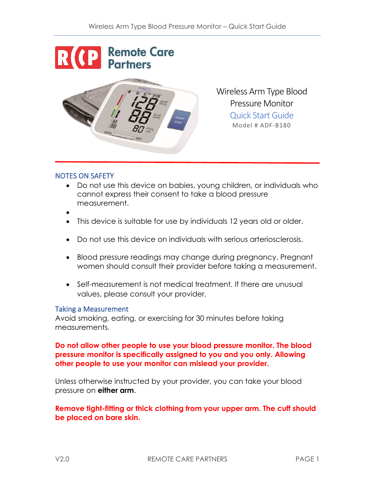

Wireless Arm Type Blood Pressure Monitor Quick Start Guide Model # ADF-B180

## NOTES ON SAFETY

- Do not use this device on babies, young children, or individuals who cannot express their consent to take a blood pressure measurement.
- •
- This device is suitable for use by individuals 12 years old or older.
- Do not use this device on individuals with serious arteriosclerosis.
- Blood pressure readings may change during pregnancy. Pregnant women should consult their provider before taking a measurement.
- Self-measurement is not medical treatment. If there are unusual values, please consult your provider.

## Taking a Measurement

Avoid smoking, eating, or exercising for 30 minutes before taking measurements.

**Do not allow other people to use your blood pressure monitor. The blood pressure monitor is specifically assigned to you and you only. Allowing other people to use your monitor can mislead your provider.**

Unless otherwise instructed by your provider, you can take your blood pressure on **either arm**.

**Remove tight-fitting or thick clothing from your upper arm. The cuff should be placed on bare skin.**